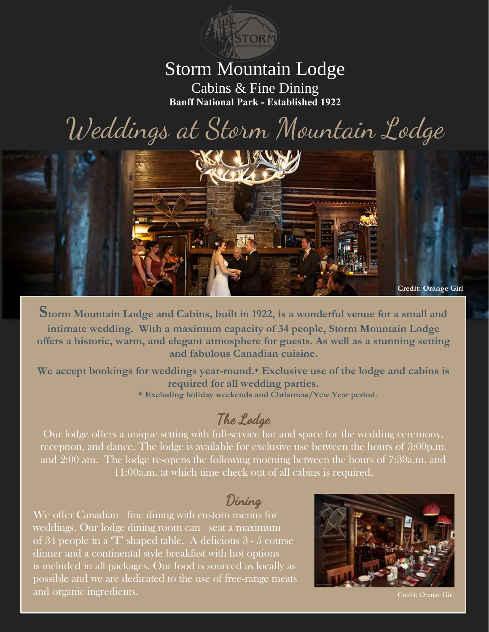

### Storm Mountain Lodge Cabins & Fine Dining **Banff National Park - Established 1922**

Weddings at Storm Mountain Lodge



**Storm Mountain Lodge and Cabins, built in 1922, is a wonderful venue for a small and intimate wedding. With a maximum capacity of 34 people, Storm Mountain Lodge offers a historic, warm, and elegant atmosphere for guests. As well as a stunning setting and fabulous Canadian cuisine.**

**We accept bookings for weddings year-round.\* Exclusive use of the lodge and cabins is required for all wedding parties.**

**\* Excluding holiday weekends and Christmas/Yew Year period.**

## The Lodge

Our lodge offers a unique setting with full-service bar and space for the wedding ceremony, reception, and dance. The lodge is available for exclusive use between the hours of 3:00p.m. and 2:00 am. The lodge re-opens the following morning between the hours of 7:30a.m. and 11:00a.m. at which time check out of all cabins is required.

## Dining

We offer Canadian fine dining with custom menus for weddings. Our lodge dining room can seat a maximum of 34 people in a 'T' shaped table. A delicious 3 - 5 course dinner and a continental style breakfast with hot options is included in all packages. Our food is sourced as locally as possible and we are dedicated to the use of free-range meats and organic ingredients.



Credit: Orange Girl

**Credit: Orange Girl**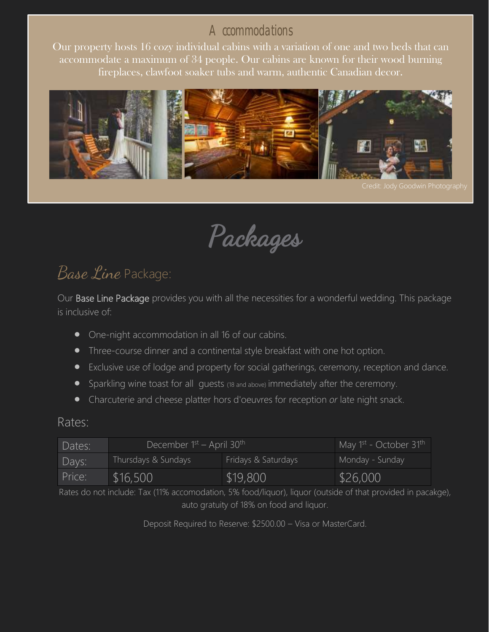### **Accommodations**

Our property hosts 16 cozy individual cabins with a variation of one and two beds that can accommodate a maximum of 34 people. Our cabins are known for their wood burning fireplaces, clawfoot soaker tubs and warm, authentic Canadian decor.



Packages

# Base Line Package:

Our Base Line Package provides you with all the necessities for a wonderful wedding. This package is inclusive of:

- One-night accommodation in all 16 of our cabins.
- Three-course dinner and a continental style breakfast with one hot option.
- Exclusive use of lodge and property for social gatherings, ceremony, reception and dance.
- Sparkling wine toast for all quests (18 and above) immediately after the ceremony.
- Charcuterie and cheese platter hors d'oeuvres for reception *or* late night snack.

Rates:

| Dates: | December $1st$ – April 30 <sup>th</sup> |                     | May 1st - October $31th$ |
|--------|-----------------------------------------|---------------------|--------------------------|
| Days:  | Thursdays & Sundays                     | Fridays & Saturdays | Monday - Sunday          |
| Price: | \$16,500                                | \$19,800            | \$26,000                 |

Rates do not include: Tax (11% accomodation, 5% food/liquor), liquor (outside of that provided in pacakge), auto gratuity of 18% on food and liquor.

Deposit Required to Reserve: \$2500.00 – Visa or MasterCard.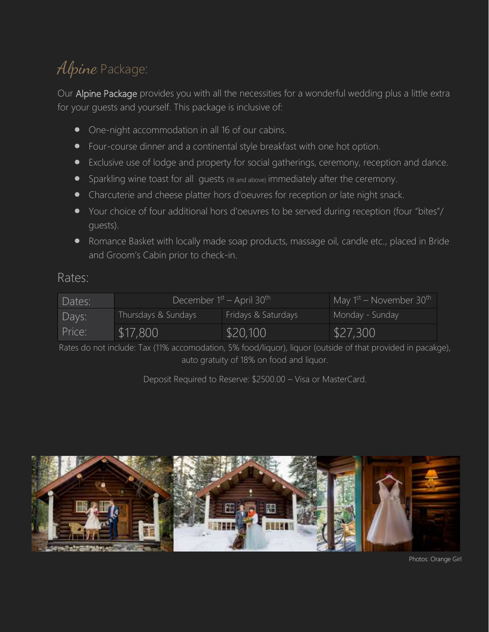# Alpine Package:

Our Alpine Package provides you with all the necessities for a wonderful wedding plus a little extra for your guests and yourself. This package is inclusive of:

- One-night accommodation in all 16 of our cabins.
- Four-course dinner and a continental style breakfast with one hot option.
- Exclusive use of lodge and property for social gatherings, ceremony, reception and dance.
- Sparkling wine toast for all guests (18 and above) immediately after the ceremony.
- Charcuterie and cheese platter hors d'oeuvres for reception *or* late night snack.
- Your choice of four additional hors d'oeuvres to be served during reception (four "bites"/ guests).
- Romance Basket with locally made soap products, massage oil, candle etc., placed in Bride and Groom's Cabin prior to check-in.

### Rates:

| Dates: | December 1 <sup>st</sup> – April 30 <sup>th</sup> |                     | May $1^{st}$ – November $30^{th}$ |
|--------|---------------------------------------------------|---------------------|-----------------------------------|
| Days:  | Thursdays & Sundays                               | Fridays & Saturdays | Monday - Sunday                   |
| Price: | \$17,800                                          | \$20,100            | \$27,300                          |

Rates do not include: Tax (11% accomodation, 5% food/liquor), liquor (outside of that provided in pacakge), auto gratuity of 18% on food and liquor.

Deposit Required to Reserve: \$2500.00 – Visa or MasterCard.



Photos: Orange Girl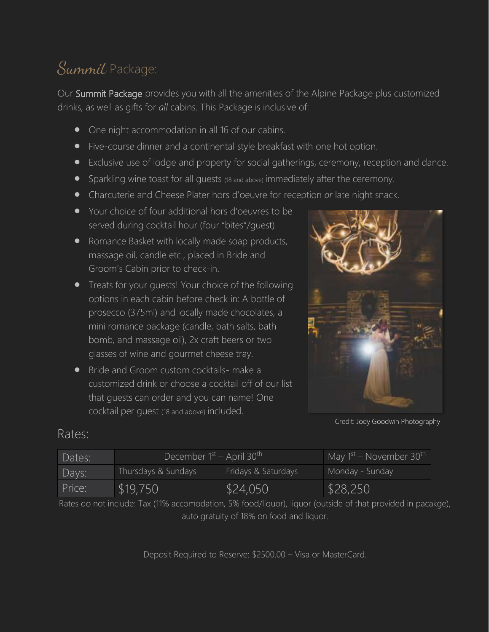# Summit Package:

Our Summit Package provides you with all the amenities of the Alpine Package plus customized drinks, as well as gifts for *all* cabins. This Package is inclusive of:

- One night accommodation in all 16 of our cabins.
- Five-course dinner and a continental style breakfast with one hot option.
- Exclusive use of lodge and property for social gatherings, ceremony, reception and dance.
- Sparkling wine toast for all guests (18 and above) immediately after the ceremony.
- Charcuterie and Cheese Plater hors d'oeuvre for reception *or* late night snack.
- Your choice of four additional hors d'oeuvres to be served during cocktail hour (four "bites"/guest).
- Romance Basket with locally made soap products, massage oil, candle etc., placed in Bride and Groom's Cabin prior to check-in.
- Treats for your guests! Your choice of the following options in each cabin before check in: A bottle of prosecco (375ml) and locally made chocolates, a mini romance package (candle, bath salts, bath bomb, and massage oil), 2x craft beers or two glasses of wine and gourmet cheese tray.
- Bride and Groom custom cocktails- make a customized drink or choose a cocktail off of our list that guests can order and you can name! One cocktail per guest (18 and above) included.



Credit: Jody Goodwin Photography

### Rates:

| Dates: | December $1st$ – April 30 <sup>th</sup> |                     | May $1^{st}$ – November 30 <sup>th</sup> |
|--------|-----------------------------------------|---------------------|------------------------------------------|
| Days:  | Thursdays & Sundays                     | Fridays & Saturdays | Monday - Sunday                          |
| Price: | \$19,750                                | \$24,050            | \$28,250                                 |

Rates do not include: Tax (11% accomodation, 5% food/liquor), liquor (outside of that provided in pacakge), auto gratuity of 18% on food and liquor.

Deposit Required to Reserve: \$2500.00 – Visa or MasterCard.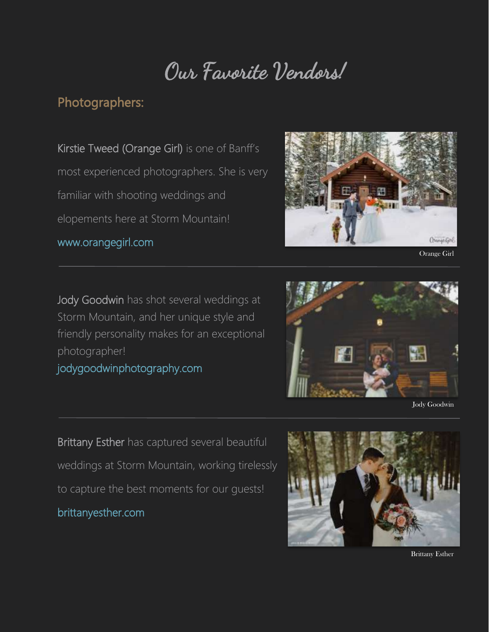# Our Favorite Vendors!

### Photographers:

Kirstie Tweed (Orange Girl) is one of Banff's most experienced photographers. She is very familiar with shooting weddings and elopements here at Storm Mountain!

#### [www.orangegirl.com](http://www.orangegirl.com/)



Orange Girl

Jody Goodwin has shot several weddings at Storm Mountain, and her unique style and friendly personality makes for an exceptional photographer!

[jodygoodwinphotography.com](http://www.jodygoodwinphotography.com/) 



Jody Goodwin

Brittany Esther has captured several beautiful weddings at Storm Mountain, working tirelessly to capture the best moments for our guests! [brittanyesther.com](http://brittanyesther.com/) 



Brittany Esther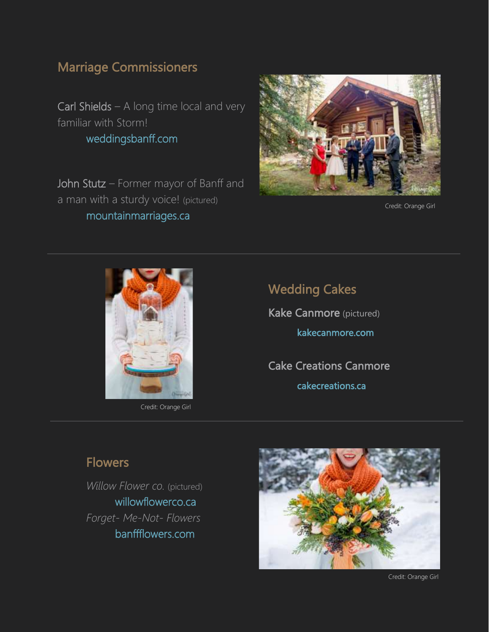### Marriage Commissioners

Carl Shields – A long time local and very familiar with Storm! [weddingsbanff.com](http://www.weddingsbanff.com/) 

John Stutz - Former mayor of Banff and a man with a sturdy voice! (pictured) [mountainmarriages.ca](http://www.mountainmarriages.ca/) 



Credit: Orange Girl



Credit: Orange Girl

Wedding Cakes Kake Canmore (pictured) [kakecanmore.com](http://kakecanmore.com/)  Cake Creations Canmore

[cakecreations.ca](http://www.cakecreations.ca/)

#### **Flowers**

*Willow Flower co.* (pictured) [willowflowerco.ca](http://willowflowerco.ca/)  *Forget- Me-Not- Flowers* [banffflowers.com](http://www.banffflowers.com/) 



Credit: Orange Girl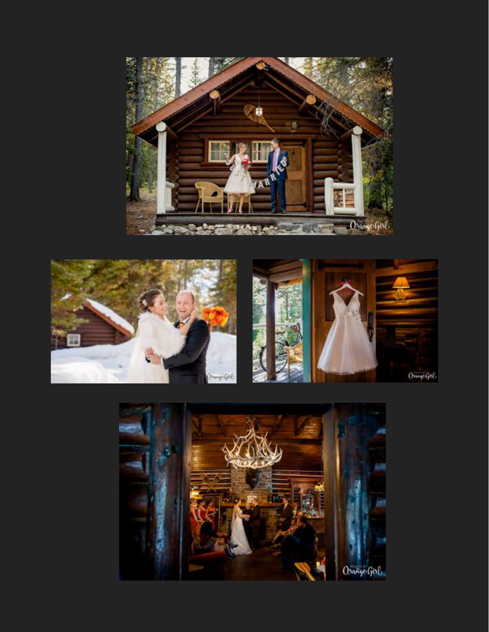



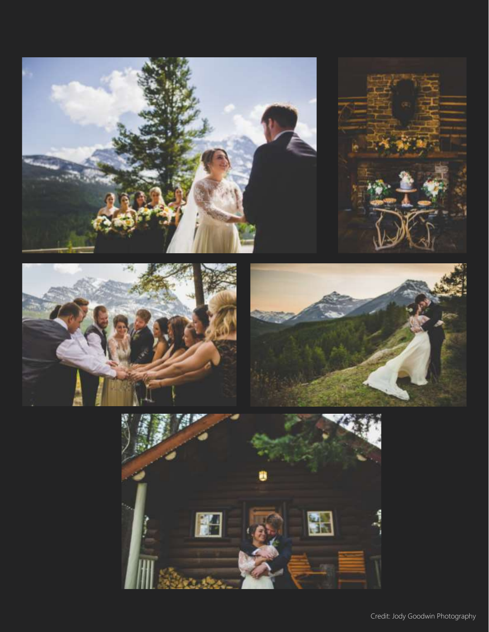